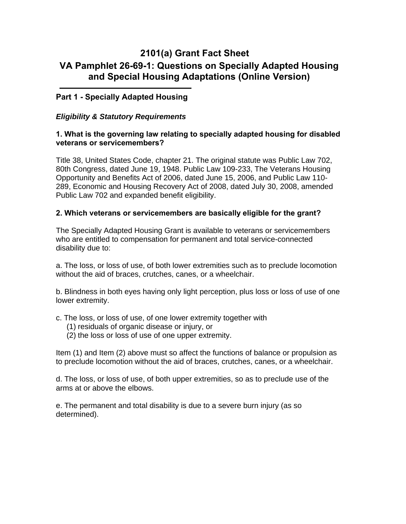# **2101(a) Grant Fact Sheet VA Pamphlet 26-69-1: Questions on Specially Adapted Housing and Special Housing Adaptations (Online Version)**

# **Part 1 - Specially Adapted Housing**

## *Eligibility & Statutory Requirements*

#### **1. What is the governing law relating to specially adapted housing for disabled veterans or servicemembers?**

Title 38, United States Code, chapter 21. The original statute was Public Law 702, 80th Congress, dated June 19, 1948. Public Law 109-233, The Veterans Housing Opportunity and Benefits Act of 2006, dated June 15, 2006, and Public Law 110- 289, Economic and Housing Recovery Act of 2008, dated July 30, 2008, amended Public Law 702 and expanded benefit eligibility.

#### **2. Which veterans or servicemembers are basically eligible for the grant?**

The Specially Adapted Housing Grant is available to veterans or servicemembers who are entitled to compensation for permanent and total service-connected disability due to:

a. The loss, or loss of use, of both lower extremities such as to preclude locomotion without the aid of braces, crutches, canes, or a wheelchair.

b. Blindness in both eyes having only light perception, plus loss or loss of use of one lower extremity.

- c. The loss, or loss of use, of one lower extremity together with
	- (1) residuals of organic disease or injury, or
	- (2) the loss or loss of use of one upper extremity.

Item (1) and Item (2) above must so affect the functions of balance or propulsion as to preclude locomotion without the aid of braces, crutches, canes, or a wheelchair.

d. The loss, or loss of use, of both upper extremities, so as to preclude use of the arms at or above the elbows.

e. The permanent and total disability is due to a severe burn injury (as so determined).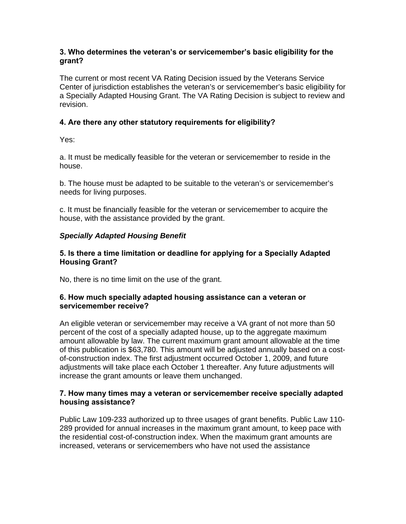## **3. Who determines the veteran's or servicemember's basic eligibility for the grant?**

The current or most recent VA Rating Decision issued by the Veterans Service Center of jurisdiction establishes the veteran's or servicemember's basic eligibility for a Specially Adapted Housing Grant. The VA Rating Decision is subject to review and revision.

# **4. Are there any other statutory requirements for eligibility?**

Yes:

a. It must be medically feasible for the veteran or servicemember to reside in the house.

b. The house must be adapted to be suitable to the veteran's or servicemember's needs for living purposes.

c. It must be financially feasible for the veteran or servicemember to acquire the house, with the assistance provided by the grant.

# *Specially Adapted Housing Benefit*

# **5. Is there a time limitation or deadline for applying for a Specially Adapted Housing Grant?**

No, there is no time limit on the use of the grant.

## **6. How much specially adapted housing assistance can a veteran or servicemember receive?**

An eligible veteran or servicemember may receive a VA grant of not more than 50 percent of the cost of a specially adapted house, up to the aggregate maximum amount allowable by law. The current maximum grant amount allowable at the time of this publication is \$63,780. This amount will be adjusted annually based on a costof-construction index. The first adjustment occurred October 1, 2009, and future adjustments will take place each October 1 thereafter. Any future adjustments will increase the grant amounts or leave them unchanged.

## **7. How many times may a veteran or servicemember receive specially adapted housing assistance?**

Public Law 109-233 authorized up to three usages of grant benefits. Public Law 110- 289 provided for annual increases in the maximum grant amount, to keep pace with the residential cost-of-construction index. When the maximum grant amounts are increased, veterans or servicemembers who have not used the assistance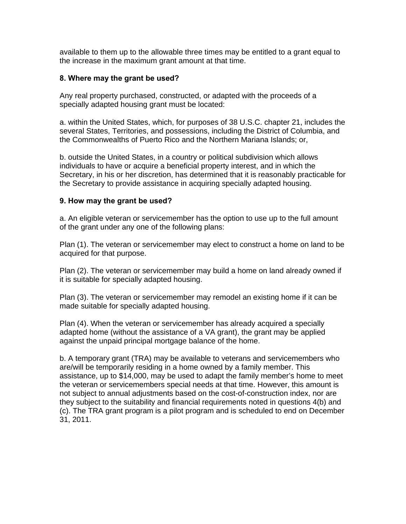available to them up to the allowable three times may be entitled to a grant equal to the increase in the maximum grant amount at that time.

# **8. Where may the grant be used?**

Any real property purchased, constructed, or adapted with the proceeds of a specially adapted housing grant must be located:

a. within the United States, which, for purposes of 38 U.S.C. chapter 21, includes the several States, Territories, and possessions, including the District of Columbia, and the Commonwealths of Puerto Rico and the Northern Mariana Islands; or,

b. outside the United States, in a country or political subdivision which allows individuals to have or acquire a beneficial property interest, and in which the Secretary, in his or her discretion, has determined that it is reasonably practicable for the Secretary to provide assistance in acquiring specially adapted housing.

# **9. How may the grant be used?**

a. An eligible veteran or servicemember has the option to use up to the full amount of the grant under any one of the following plans:

Plan (1). The veteran or servicemember may elect to construct a home on land to be acquired for that purpose.

Plan (2). The veteran or servicemember may build a home on land already owned if it is suitable for specially adapted housing.

Plan (3). The veteran or servicemember may remodel an existing home if it can be made suitable for specially adapted housing.

Plan (4). When the veteran or servicemember has already acquired a specially adapted home (without the assistance of a VA grant), the grant may be applied against the unpaid principal mortgage balance of the home.

b. A temporary grant (TRA) may be available to veterans and servicemembers who are/will be temporarily residing in a home owned by a family member. This assistance, up to \$14,000, may be used to adapt the family member's home to meet the veteran or servicemembers special needs at that time. However, this amount is not subject to annual adjustments based on the cost-of-construction index, nor are they subject to the suitability and financial requirements noted in questions 4(b) and (c). The TRA grant program is a pilot program and is scheduled to end on December 31, 2011.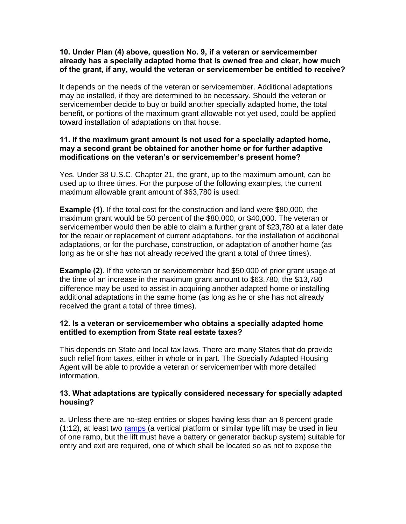#### **10. Under Plan (4) above, question No. 9, if a veteran or servicemember already has a specially adapted home that is owned free and clear, how much of the grant, if any, would the veteran or servicemember be entitled to receive?**

It depends on the needs of the veteran or servicemember. Additional adaptations may be installed, if they are determined to be necessary. Should the veteran or servicemember decide to buy or build another specially adapted home, the total benefit, or portions of the maximum grant allowable not yet used, could be applied toward installation of adaptations on that house.

#### **11. If the maximum grant amount is not used for a specially adapted home, may a second grant be obtained for another home or for further adaptive modifications on the veteran's or servicemember's present home?**

Yes. Under 38 U.S.C. Chapter 21, the grant, up to the maximum amount, can be used up to three times. For the purpose of the following examples, the current maximum allowable grant amount of \$63,780 is used:

**Example (1)**. If the total cost for the construction and land were \$80,000, the maximum grant would be 50 percent of the \$80,000, or \$40,000. The veteran or servicemember would then be able to claim a further grant of \$23,780 at a later date for the repair or replacement of current adaptations, for the installation of additional adaptations, or for the purchase, construction, or adaptation of another home (as long as he or she has not already received the grant a total of three times).

**Example (2)**. If the veteran or servicemember had \$50,000 of prior grant usage at the time of an increase in the maximum grant amount to \$63,780, the \$13,780 difference may be used to assist in acquiring another adapted home or installing additional adaptations in the same home (as long as he or she has not already received the grant a total of three times).

## **12. Is a veteran or servicemember who obtains a specially adapted home entitled to exemption from State real estate taxes?**

 information. This depends on State and local tax laws. There are many States that do provide such relief from taxes, either in whole or in part. The Specially Adapted Housing Agent will be able to provide a veteran or servicemember with more detailed

## **13. What adaptations are typically considered necessary for specially adapted housing?**

 entry and exit are required, one of which shall be located so as not to expose the a. Unless there are no-step entries or slopes having less than an 8 percent grade (1:12), at least two [ramps \(](http://homeloans.va.gov/sahphotos.htm)a vertical platform or similar type lift may be used in lieu of one ramp, but the lift must have a battery or generator backup system) suitable for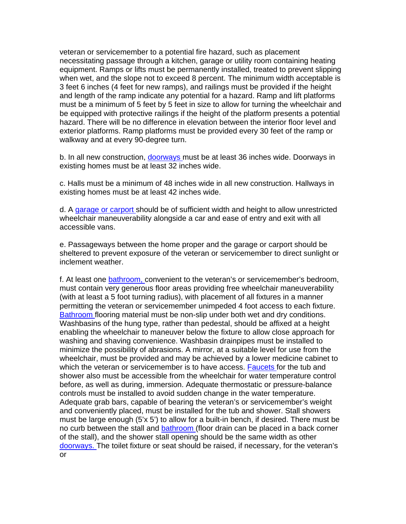veteran or servicemember to a potential fire hazard, such as placement necessitating passage through a kitchen, garage or utility room containing heating equipment. Ramps or lifts must be permanently installed, treated to prevent slipping when wet, and the slope not to exceed 8 percent. The minimum width acceptable is 3 feet 6 inches (4 feet for new ramps), and railings must be provided if the height and length of the ramp indicate any potential for a hazard. Ramp and lift platforms must be a minimum of 5 feet by 5 feet in size to allow for turning the wheelchair and be equipped with protective railings if the height of the platform presents a potential hazard. There will be no difference in elevation between the interior floor level and exterior platforms. Ramp platforms must be provided every 30 feet of the ramp or walkway and at every 90-degree turn.

b. In all new construction, [doorways](http://homeloans.va.gov/sahphotos.htm) must be at least 36 inches wide. Doorways in existing homes must be at least 32 inches wide.

c. Halls must be a minimum of 48 inches wide in all new construction. Hallways in existing homes must be at least 42 inches wide.

d. A [garage or carport](http://homeloans.va.gov/sahphotos.htm) should be of sufficient width and height to allow unrestricted wheelchair maneuverability alongside a car and ease of entry and exit with all accessible vans.

e. Passageways between the home proper and the garage or carport should be sheltered to prevent exposure of the veteran or servicemember to direct sunlight or inclement weather.

f. At least one [bathroom,](http://homeloans.va.gov/sahphotos.htm) convenient to the veteran's or servicemember's bedroom, must contain very generous floor areas providing free wheelchair maneuverability (with at least a 5 foot turning radius), with placement of all fixtures in a manner permitting the veteran or servicemember unimpeded 4 foot access to each fixture. [Bathroom](http://homeloans.va.gov/sahphotos.htm) flooring material must be non-slip under both wet and dry conditions. Washbasins of the hung type, rather than pedestal, should be affixed at a height enabling the wheelchair to maneuver below the fixture to allow close approach for washing and shaving convenience. Washbasin drainpipes must be installed to minimize the possibility of abrasions. A mirror, at a suitable level for use from the wheelchair, must be provided and may be achieved by a lower medicine cabinet to which the veteran or servicemember is to have access. **Faucets** for the tub and shower also must be accessible from the wheelchair for water temperature control before, as well as during, immersion. Adequate thermostatic or pressure-balance controls must be installed to avoid sudden change in the water temperature. Adequate grab bars, capable of bearing the veteran's or servicemember's weight and conveniently placed, must be installed for the tub and shower. Stall showers must be large enough (5'x 5') to allow for a built-in bench, if desired. There must be no curb between the stall and [bathroom](http://homeloans.va.gov/sahphotos.htm) (floor drain can be placed in a back corner of the stall), and the shower stall opening should be the same width as other [doorways. T](http://homeloans.va.gov/sahphotos.htm)he toilet fixture or seat should be raised, if necessary, for the veteran's or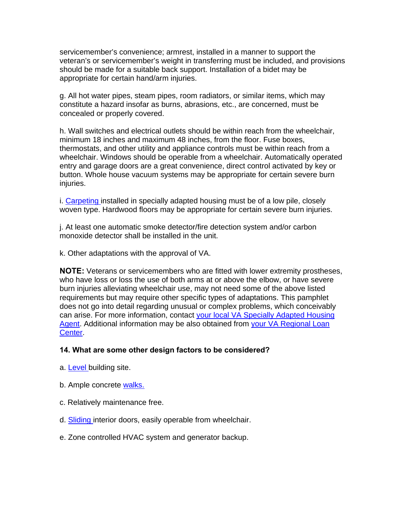servicemember's convenience; armrest, installed in a manner to support the veteran's or servicemember's weight in transferring must be included, and provisions should be made for a suitable back support. Installation of a bidet may be appropriate for certain hand/arm injuries.

g. All hot water pipes, steam pipes, room radiators, or similar items, which may constitute a hazard insofar as burns, abrasions, etc., are concerned, must be concealed or properly covered.

h. Wall switches and electrical outlets should be within reach from the wheelchair, minimum 18 inches and maximum 48 inches, from the floor. Fuse boxes, thermostats, and other utility and appliance controls must be within reach from a wheelchair. Windows should be operable from a wheelchair. Automatically operated entry and garage doors are a great convenience, direct control activated by key or button. Whole house vacuum systems may be appropriate for certain severe burn injuries.

i. [Carpeting i](http://homeloans.va.gov/sahphotos.htm)nstalled in specially adapted housing must be of a low pile, closely woven type. Hardwood floors may be appropriate for certain severe burn injuries.

j. At least one automatic smoke detector/fire detection system and/or carbon monoxide detector shall be installed in the unit.

k. Other adaptations with the approval of VA.

**NOTE:** Veterans or servicemembers who are fitted with lower extremity prostheses, who have loss or loss the use of both arms at or above the elbow, or have severe burn injuries alleviating wheelchair use, may not need some of the above listed requirements but may require other specific types of adaptations. This pamphlet does not go into detail regarding unusual or complex problems, which conceivably can arise. For more information, contact [your local VA Specially Adapted Housing](http://www.homeloans.va.gov/sahagent.htm)  [Agent](http://www.homeloans.va.gov/sahagent.htm). Additional information may be also obtained from [your VA Regional Loan](http://homeloans.va.gov/rlcweb.htm) [Center.](http://homeloans.va.gov/rlcweb.htm)

#### **14. What are some other design factors to be considered?**

- a. [Level b](http://www.homeloans.va.gov/sahphotos.htm)uilding site.
- b. Ample concrete walks.
- c. Relatively maintenance free.
- d. [Sliding i](http://www.homeloans.va.gov/sahphotos.htm)nterior doors, easily operable from wheelchair.
- e. Zone controlled HVAC system and generator backup.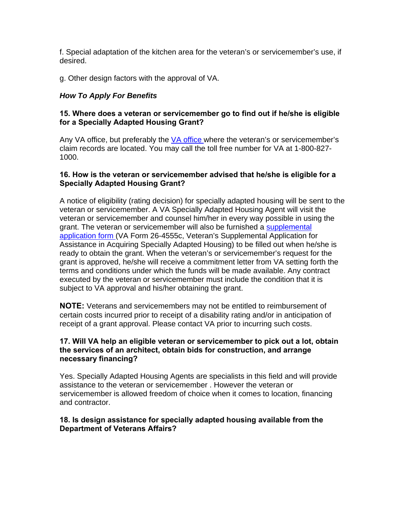f. Special adaptation of the kitchen area for the veteran's or servicemember's use, if desired.

g. Other design factors with the approval of VA.

# *How To Apply For Benefits*

## **15. Where does a veteran or servicemember go to find out if he/she is eligible for a Specially Adapted Housing Grant?**

Any VA office, but preferably the [VA office](http://www.vba.va.gov/ro_list.htm) where the veteran's or servicemember's claim records are located. You may call the toll free number for VA at 1-800-827- 1000.

# **16. How is the veteran or servicemember advised that he/she is eligible for a Specially Adapted Housing Grant?**

A notice of eligibility (rating decision) for specially adapted housing will be sent to the veteran or servicemember. A VA Specially Adapted Housing Agent will visit the veteran or servicemember and counsel him/her in every way possible in using the [grant. The veteran or servicemember will also be furnished a supplemental](http://www.vba.va.gov/pubs/forms/vba-26-4555c-are.pdf) application form (VA Form 26-4555c, Veteran's Supplemental Application for Assistance in Acquiring Specially Adapted Housing) to be filled out when he/she is ready to obtain the grant. When the veteran's or servicemember's request for the grant is approved, he/she will receive a commitment letter from VA setting forth the terms and conditions under which the funds will be made available. Any contract executed by the veteran or servicemember must include the condition that it is subject to VA approval and his/her obtaining the grant.

**NOTE:** Veterans and servicemembers may not be entitled to reimbursement of certain costs incurred prior to receipt of a disability rating and/or in anticipation of receipt of a grant approval. Please contact VA prior to incurring such costs.

## **17. Will VA help an eligible veteran or servicemember to pick out a lot, obtain the services of an architect, obtain bids for construction, and arrange necessary financing?**

Yes. Specially Adapted Housing Agents are specialists in this field and will provide assistance to the veteran or servicemember . However the veteran or servicemember is allowed freedom of choice when it comes to location, financing and contractor.

#### **18. Is design assistance for specially adapted housing available from the Department of Veterans Affairs?**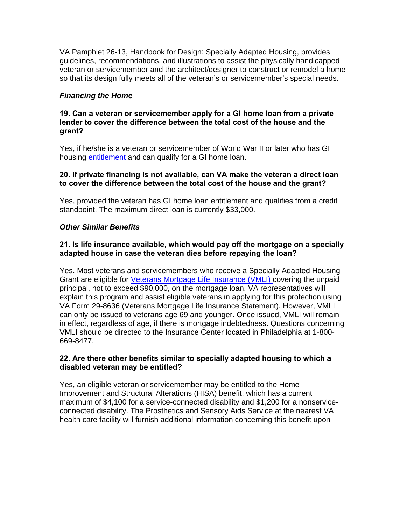VA Pamphlet 26-13, Handbook for Design: Specially Adapted Housing, provides guidelines, recommendations, and illustrations to assist the physically handicapped veteran or servicemember and the architect/designer to construct or remodel a home so that its design fully meets all of the veteran's or servicemember's special needs.

# *Financing the Home*

#### **19. Can a veteran or servicemember apply for a GI home loan from a private lender to cover the difference between the total cost of the house and the grant?**

Yes, if he/she is a veteran or servicemember of World War II or later who has GI housing [entitlement a](http://homeloans.va.gov/veteran.htm)nd can qualify for a GI home loan.

#### **20. If private financing is not available, can VA make the veteran a direct loan to cover the difference between the total cost of the house and the grant?**

 standpoint. The maximum direct loan is currently \$33,000. Yes, provided the veteran has GI home loan entitlement and qualifies from a credit

#### *Other Similar Benefits*

# **21. Is life insurance available, which would pay off the mortgage on a specially adapted house in case the veteran dies before repaying the loan?**

Yes. Most veterans and servicemembers who receive a Specially Adapted Housing Grant are eligible for *Veterans Mortgage Life Insurance (VMLI)* covering the unpaid principal, not to exceed \$90,000, on the mortgage loan. VA representatives will explain this program and assist eligible veterans in applying for this protection using VA Form 29-8636 (Veterans Mortgage Life Insurance Statement). However, VMLI can only be issued to veterans age 69 and younger. Once issued, VMLI will remain in effect, regardless of age, if there is mortgage indebtedness. Questions concerning VMLI should be directed to the Insurance Center located in Philadelphia at 1-800- 669-8477.

## **22. Are there other benefits similar to specially adapted housing to which a disabled veteran may be entitled?**

 health care facility will furnish additional information concerning this benefit upon Yes, an eligible veteran or servicemember may be entitled to the Home Improvement and Structural Alterations (HISA) benefit, which has a current maximum of \$4,100 for a service-connected disability and \$1,200 for a nonserviceconnected disability. The Prosthetics and Sensory Aids Service at the nearest VA